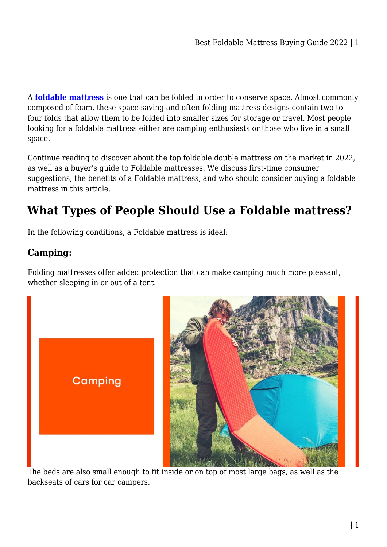A **[foldable mattress](https://furniturre.com.au/mattress/foldable-mattress/)** is one that can be folded in order to conserve space. Almost commonly composed of foam, these space-saving and often folding mattress designs contain two to four folds that allow them to be folded into smaller sizes for storage or travel. Most people looking for a foldable mattress either are camping enthusiasts or those who live in a small space.

Continue reading to discover about the top foldable double mattress on the market in 2022, as well as a buyer's guide to Foldable mattresses. We discuss first-time consumer suggestions, the benefits of a Foldable mattress, and who should consider buying a foldable mattress in this article.

# **What Types of People Should Use a Foldable mattress?**

In the following conditions, a Foldable mattress is ideal:

## **Camping:**

Folding mattresses offer added protection that can make camping much more pleasant, whether sleeping in or out of a tent.





The beds are also small enough to fit inside or on top of most large bags, as well as the backseats of cars for car campers.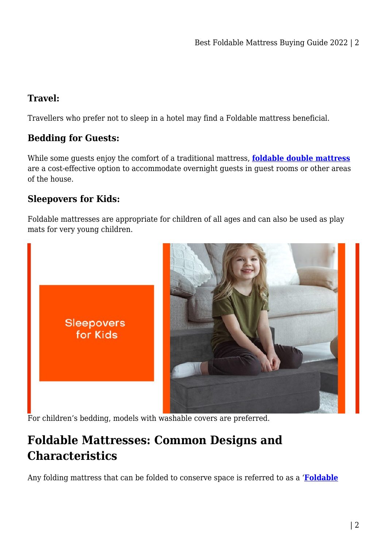## **Travel:**

Travellers who prefer not to sleep in a hotel may find a Foldable mattress beneficial.

## **Bedding for Guests:**

While some guests enjoy the comfort of a traditional mattress, **[foldable double mattress](https://mattressoffers.com.au/mattresses/double/giselle-bedding-double-size-folding-foam-mattress-portable-bed-mat-velvet-dark-grey/)** are a cost-effective option to accommodate overnight guests in guest rooms or other areas of the house.

## **Sleepovers for Kids:**

Foldable mattresses are appropriate for children of all ages and can also be used as play mats for very young children.



For children's bedding, models with washable covers are preferred.

# **Foldable Mattresses: Common Designs and Characteristics**

Any folding mattress that can be folded to conserve space is referred to as a '**[Foldable](https://mattressoffers.com.au/mattress/foldable-mattress/)**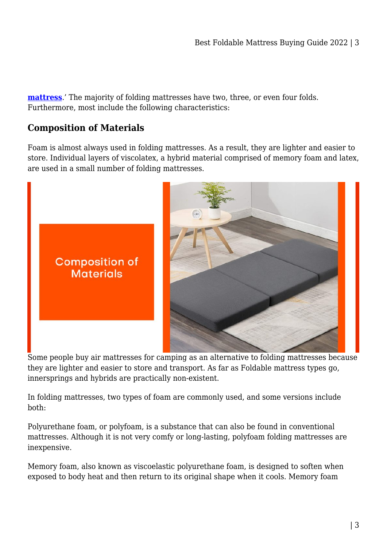**[mattress](https://mattressoffers.com.au/mattress/foldable-mattress/)**.' The majority of folding mattresses have two, three, or even four folds. Furthermore, most include the following characteristics:

#### **Composition of Materials**

Foam is almost always used in folding mattresses. As a result, they are lighter and easier to store. Individual layers of viscolatex, a hybrid material comprised of memory foam and latex, are used in a small number of folding mattresses.



Some people buy air mattresses for camping as an alternative to folding mattresses because they are lighter and easier to store and transport. As far as Foldable mattress types go, innersprings and hybrids are practically non-existent.

In folding mattresses, two types of foam are commonly used, and some versions include both:

Polyurethane foam, or polyfoam, is a substance that can also be found in conventional mattresses. Although it is not very comfy or long-lasting, polyfoam folding mattresses are inexpensive.

Memory foam, also known as viscoelastic polyurethane foam, is designed to soften when exposed to body heat and then return to its original shape when it cools. Memory foam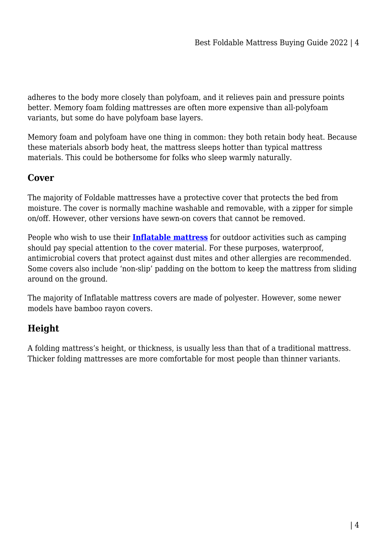adheres to the body more closely than polyfoam, and it relieves pain and pressure points better. Memory foam folding mattresses are often more expensive than all-polyfoam variants, but some do have polyfoam base layers.

Memory foam and polyfoam have one thing in common: they both retain body heat. Because these materials absorb body heat, the mattress sleeps hotter than typical mattress materials. This could be bothersome for folks who sleep warmly naturally.

## **Cover**

The majority of Foldable mattresses have a protective cover that protects the bed from moisture. The cover is normally machine washable and removable, with a zipper for simple on/off. However, other versions have sewn-on covers that cannot be removed.

People who wish to use their **[Inflatable mattress](https://mattressoffers.com.au/inflatable-mattress/)** for outdoor activities such as camping should pay special attention to the cover material. For these purposes, waterproof, antimicrobial covers that protect against dust mites and other allergies are recommended. Some covers also include 'non-slip' padding on the bottom to keep the mattress from sliding around on the ground.

The majority of Inflatable mattress covers are made of polyester. However, some newer models have bamboo rayon covers.

## **Height**

A folding mattress's height, or thickness, is usually less than that of a traditional mattress. Thicker folding mattresses are more comfortable for most people than thinner variants.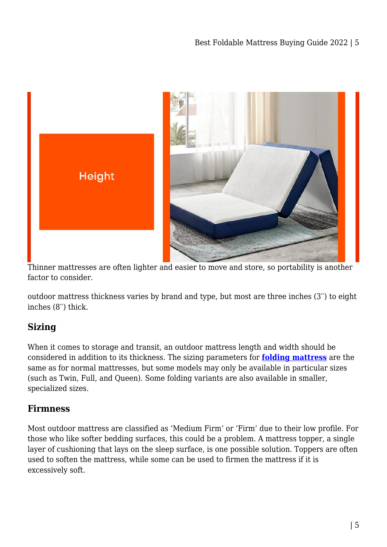

Thinner mattresses are often lighter and easier to move and store, so portability is another factor to consider.

outdoor mattress thickness varies by brand and type, but most are three inches (3′′) to eight inches (8′′) thick.

## **Sizing**

When it comes to storage and transit, an outdoor mattress length and width should be considered in addition to its thickness. The sizing parameters for **[folding mattress](https://mattressdiscount.com.au/mattress/foldable-mattress/)** are the same as for normal mattresses, but some models may only be available in particular sizes (such as Twin, Full, and Queen). Some folding variants are also available in smaller, specialized sizes.

## **Firmness**

Most outdoor mattress are classified as 'Medium Firm' or 'Firm' due to their low profile. For those who like softer bedding surfaces, this could be a problem. A mattress topper, a single layer of cushioning that lays on the sleep surface, is one possible solution. Toppers are often used to soften the mattress, while some can be used to firmen the mattress if it is excessively soft.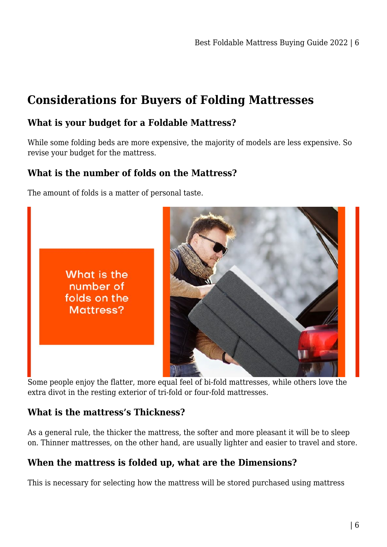# **Considerations for Buyers of Folding Mattresses**

### **What is your budget for a Foldable Mattress?**

While some folding beds are more expensive, the majority of models are less expensive. So revise your budget for the mattress.

## **What is the number of folds on the Mattress?**

The amount of folds is a matter of personal taste.

What is the number of folds on the Mattress?



Some people enjoy the flatter, more equal feel of bi-fold mattresses, while others love the extra divot in the resting exterior of tri-fold or four-fold mattresses.

#### **What is the mattress's Thickness?**

As a general rule, the thicker the mattress, the softer and more pleasant it will be to sleep on. Thinner mattresses, on the other hand, are usually lighter and easier to travel and store.

## **When the mattress is folded up, what are the Dimensions?**

This is necessary for selecting how the mattress will be stored purchased using mattress